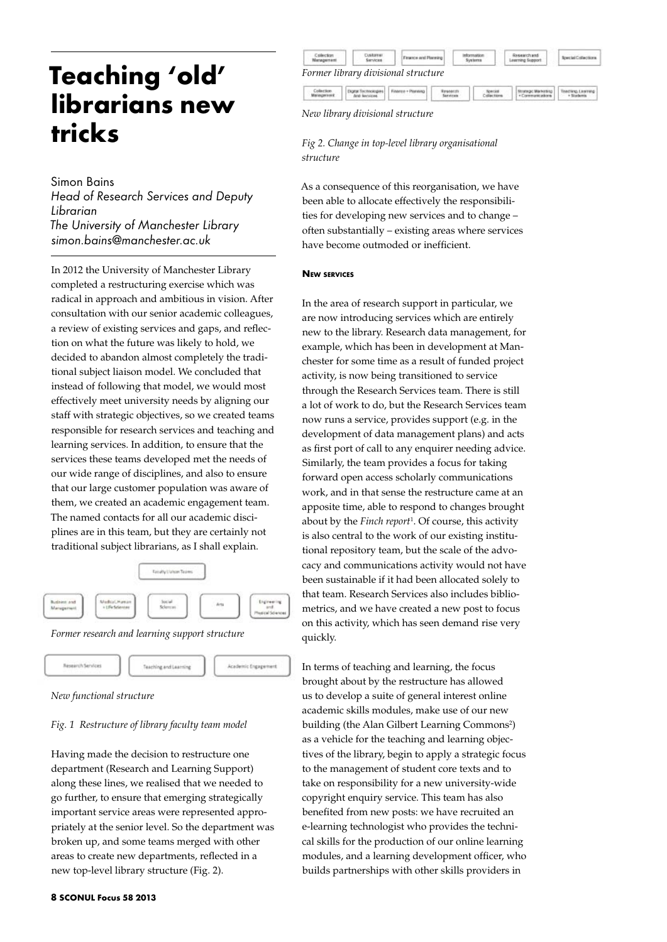# **Teaching 'old' librarians new tricks**

## Simon Bains

*Head of Research Services and Deputy Librarian The University of Manchester Library simon.bains@manchester.ac.uk*

In 2012 the University of Manchester Library completed a restructuring exercise which was radical in approach and ambitious in vision. After consultation with our senior academic colleagues, a review of existing services and gaps, and reflection on what the future was likely to hold, we decided to abandon almost completely the traditional subject liaison model. We concluded that instead of following that model, we would most effectively meet university needs by aligning our staff with strategic objectives, so we created teams responsible for research services and teaching and learning services. In addition, to ensure that the services these teams developed met the needs of our wide range of disciplines, and also to ensure that our large customer population was aware of them, we created an academic engagement team. The named contacts for all our academic disciplines are in this team, but they are certainly not traditional subject librarians, as I shall explain.



Academic Engagement

*Former research and learning support structure* 





## *Fig. 1 Restructure of library faculty team model*

Having made the decision to restructure one department (Research and Learning Support) along these lines, we realised that we needed to go further, to ensure that emerging strategically important service areas were represented appropriately at the senior level. So the department was broken up, and some teams merged with other areas to create new departments, reflected in a new top-level library structure (Fig. 2).

| <b>Martins</b> | <b>Les Rome auf</b><br>Sarvices | - And Diseminar                     | Systems | statisticht und<br>ning Support |  |
|----------------|---------------------------------|-------------------------------------|---------|---------------------------------|--|
|                |                                 |                                     |         |                                 |  |
|                |                                 | Former library divisional structure |         |                                 |  |



*Fig 2. Change in top-level library organisational structure* 

As a consequence of this reorganisation, we have been able to allocate effectively the responsibilities for developing new services and to change – often substantially – existing areas where services have become outmoded or inefficient.

### **New services**

In the area of research support in particular, we are now introducing services which are entirely new to the library. Research data management, for example, which has been in development at Manchester for some time as a result of funded project activity, is now being transitioned to service through the Research Services team. There is still a lot of work to do, but the Research Services team now runs a service, provides support (e.g. in the development of data management plans) and acts as first port of call to any enquirer needing advice. Similarly, the team provides a focus for taking forward open access scholarly communications work, and in that sense the restructure came at an apposite time, able to respond to changes brought about by the *Finch report*<sup>1</sup> . Of course, this activity is also central to the work of our existing institutional repository team, but the scale of the advocacy and communications activity would not have been sustainable if it had been allocated solely to that team. Research Services also includes bibliometrics, and we have created a new post to focus on this activity, which has seen demand rise very quickly.

In terms of teaching and learning, the focus brought about by the restructure has allowed us to develop a suite of general interest online academic skills modules, make use of our new building (the Alan Gilbert Learning Commons<sup>2</sup>) as a vehicle for the teaching and learning objectives of the library, begin to apply a strategic focus to the management of student core texts and to take on responsibility for a new university-wide copyright enquiry service. This team has also benefited from new posts: we have recruited an e-learning technologist who provides the technical skills for the production of our online learning modules, and a learning development officer, who builds partnerships with other skills providers in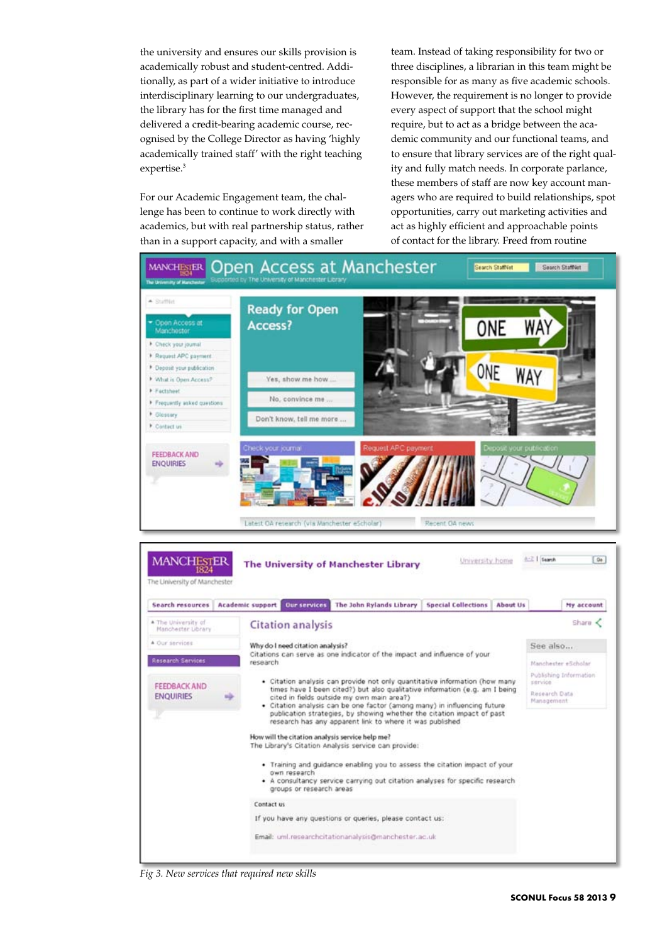the university and ensures our skills provision is academically robust and student-centred. Additionally, as part of a wider initiative to introduce interdisciplinary learning to our undergraduates, the library has for the first time managed and delivered a credit-bearing academic course, recognised by the College Director as having 'highly academically trained staff' with the right teaching expertise.<sup>3</sup>

For our Academic Engagement team, the challenge has been to continue to work directly with academics, but with real partnership status, rather than in a support capacity, and with a smaller

team. Instead of taking responsibility for two or three disciplines, a librarian in this team might be responsible for as many as five academic schools. However, the requirement is no longer to provide every aspect of support that the school might require, but to act as a bridge between the academic community and our functional teams, and to ensure that library services are of the right quality and fully match needs. In corporate parlance, these members of staff are now key account managers who are required to build relationships, spot opportunities, carry out marketing activities and act as highly efficient and approachable points of contact for the library. Freed from routine



*Fig 3. New services that required new skills*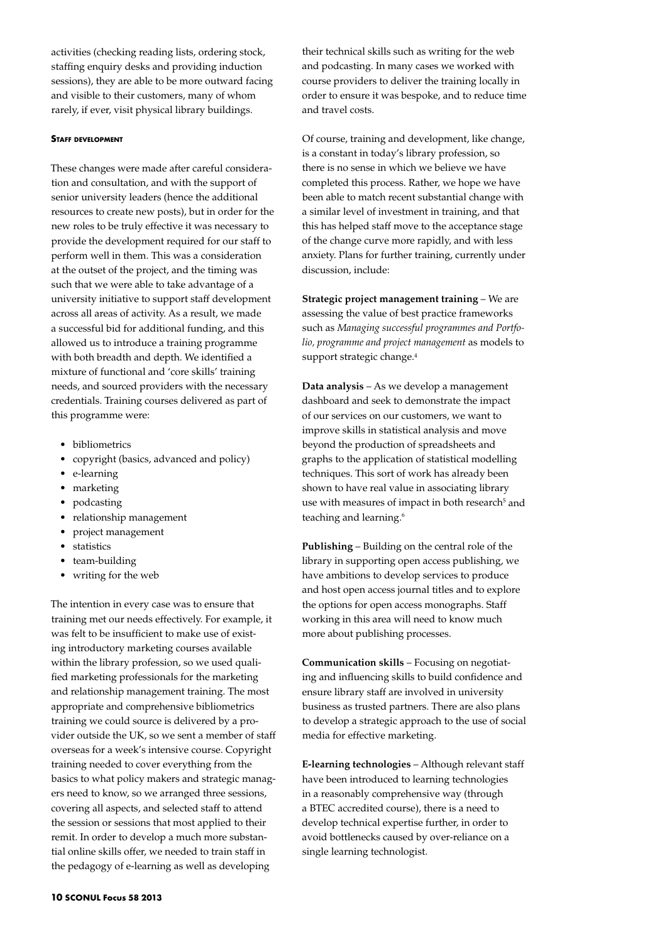activities (checking reading lists, ordering stock, staffing enquiry desks and providing induction sessions), they are able to be more outward facing and visible to their customers, many of whom rarely, if ever, visit physical library buildings.

#### **Staff development**

These changes were made after careful consideration and consultation, and with the support of senior university leaders (hence the additional resources to create new posts), but in order for the new roles to be truly effective it was necessary to provide the development required for our staff to perform well in them. This was a consideration at the outset of the project, and the timing was such that we were able to take advantage of a university initiative to support staff development across all areas of activity. As a result, we made a successful bid for additional funding, and this allowed us to introduce a training programme with both breadth and depth. We identified a mixture of functional and 'core skills' training needs, and sourced providers with the necessary credentials. Training courses delivered as part of this programme were:

- bibliometrics
- • copyright (basics, advanced and policy)
- • e-learning
- marketing
- podcasting
- relationship management
- • project management
- **statistics**
- team-building
- • writing for the web

The intention in every case was to ensure that training met our needs effectively. For example, it was felt to be insufficient to make use of existing introductory marketing courses available within the library profession, so we used qualified marketing professionals for the marketing and relationship management training. The most appropriate and comprehensive bibliometrics training we could source is delivered by a provider outside the UK, so we sent a member of staff overseas for a week's intensive course. Copyright training needed to cover everything from the basics to what policy makers and strategic managers need to know, so we arranged three sessions, covering all aspects, and selected staff to attend the session or sessions that most applied to their remit. In order to develop a much more substantial online skills offer, we needed to train staff in the pedagogy of e-learning as well as developing

their technical skills such as writing for the web and podcasting. In many cases we worked with course providers to deliver the training locally in order to ensure it was bespoke, and to reduce time and travel costs.

Of course, training and development, like change, is a constant in today's library profession, so there is no sense in which we believe we have completed this process. Rather, we hope we have been able to match recent substantial change with a similar level of investment in training, and that this has helped staff move to the acceptance stage of the change curve more rapidly, and with less anxiety. Plans for further training, currently under discussion, include:

**Strategic project management training** – We are assessing the value of best practice frameworks such as *Managing successful programmes and Portfolio, programme and project management* as models to support strategic change.<sup>4</sup>

**Data analysis** – As we develop a management dashboard and seek to demonstrate the impact of our services on our customers, we want to improve skills in statistical analysis and move beyond the production of spreadsheets and graphs to the application of statistical modelling techniques. This sort of work has already been shown to have real value in associating library use with measures of impact in both research<sup>5</sup> and teaching and learning.<sup>6</sup>

**Publishing** – Building on the central role of the library in supporting open access publishing, we have ambitions to develop services to produce and host open access journal titles and to explore the options for open access monographs. Staff working in this area will need to know much more about publishing processes.

**Communication skills** – Focusing on negotiating and influencing skills to build confidence and ensure library staff are involved in university business as trusted partners. There are also plans to develop a strategic approach to the use of social media for effective marketing.

**E-learning technologies** – Although relevant staff have been introduced to learning technologies in a reasonably comprehensive way (through a BTEC accredited course), there is a need to develop technical expertise further, in order to avoid bottlenecks caused by over-reliance on a single learning technologist.